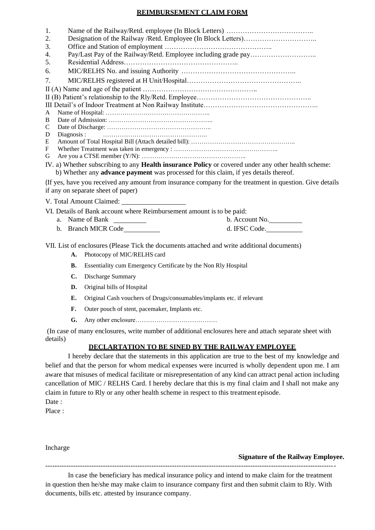#### **REIMBURSEMENT CLAIM FORM**

| 1. |                                                                                                          |
|----|----------------------------------------------------------------------------------------------------------|
| 2. |                                                                                                          |
| 3. |                                                                                                          |
| 4. |                                                                                                          |
| 5. |                                                                                                          |
| 6. |                                                                                                          |
| 7. |                                                                                                          |
|    |                                                                                                          |
|    |                                                                                                          |
|    |                                                                                                          |
| A  |                                                                                                          |
| В  |                                                                                                          |
| C  |                                                                                                          |
| D  | Diagnosis:                                                                                               |
| E  |                                                                                                          |
| F  |                                                                                                          |
| G  |                                                                                                          |
|    | IV. a) Whether subscribing to any Health insurance Policy or covered under any other health scheme:      |
|    | b) Whether any <b>advance payment</b> was processed for this claim, if yes details thereof.              |
|    | (If yes, have you received any amount from insurance company for the treatment in question. Give details |
|    | if any on separate sheet of paper)                                                                       |
|    | V. Total Amount Claimed:                                                                                 |
|    | VI. Details of Bank account where Reimbursement amount is to be paid:                                    |
|    | a. Name of Bank<br>b. Account No.                                                                        |

| a. Natile of Dalia  | U. ACCOUIILINO. |
|---------------------|-----------------|
| b. Branch MICR Code | d. IFSC Code.   |

VII. List of enclosures (Please Tick the documents attached and write additional documents)

- A. Photocopy of MIC/RELHS card
- **B.** Essentiality cum Emergency Certificate by the Non Rly Hospital
- **C.** Discharge Summary
- **D.** Original bills of Hospital
- **E.** Original Cash vouchers of Drugs/consumables/implants etc. if relevant
- **F.** Outer pouch of stent, pacemaker, Implants etc.
- **G.** Any other enclosure…………………………………

(In case of many enclosures, write number of additional enclosures here and attach separate sheet with details)

## **DECLARTATION TO BE SINED BY THE RAILWAY EMPLOYEE**

I hereby declare that the statements in this application are true to the best of my knowledge and belief and that the person for whom medical expenses were incurred is wholly dependent upon me. I am aware that misuses of medical facilitate or misrepresentation of any kind can attract penal action including cancellation of MIC / RELHS Card. I hereby declare that this is my final claim and I shall not make any claim in future to Rly or any other health scheme in respect to this treatment episode. Date:

Place :

Incharge

#### **Signature of the Railway Employee.**

In case the beneficiary has medical insurance policy and intend to make claim for the treatment in question then he/she may make claim to insurance company first and then submit claim to Rly. With documents, bills etc. attested by insurance company.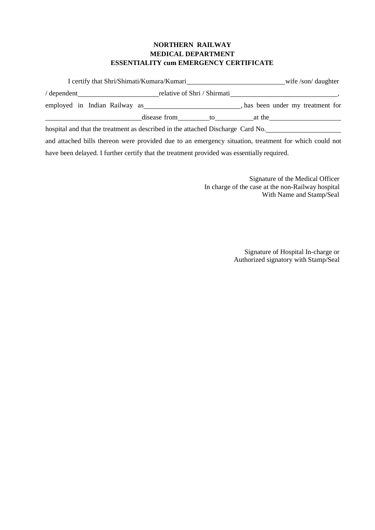## **NORTHERN RAILWAY MEDICAL DEPARTMENT ESSENTIALITY cum EMERGENCY CERTIFICATE**

|                               | I certify that Shri/Shimati/Kumara/Kumari | wife /son/ daughter |                                   |  |
|-------------------------------|-------------------------------------------|---------------------|-----------------------------------|--|
| $\theta$ dependent            | relative of Shri / Shirmati               |                     |                                   |  |
| employed in Indian Railway as |                                           |                     | , has been under my treatment for |  |
|                               | disease from                              | to                  | at the                            |  |

hospital and that the treatment as described in the attached Discharge Card No.

and attached bills thereon were provided due to an emergency situation, treatment for which could not have been delayed. I further certify that the treatment provided was essentially required.

> Signature of the Medical Officer In charge of the case at the non-Railway hospital With Name and Stamp/Seal

> > Signature of Hospital In-charge or Authorized signatory with Stamp/Seal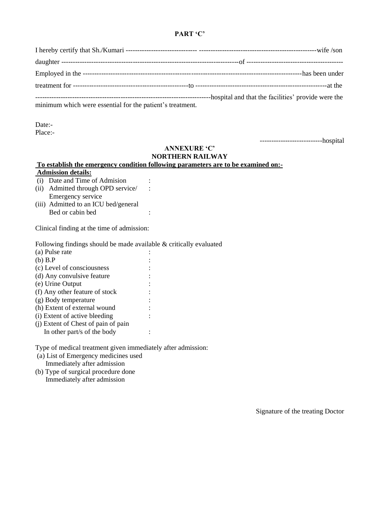### **PART 'C'**

| minimum which were essential for the patient's treatment. |  |
|-----------------------------------------------------------|--|

Date:-

Place:-

---------------------------hospital

#### **ANNEXURE 'C' NORTHERN RAILWAY**

# **To establish the emergency condition following parameters are to be examined on:- Admission details:**

- (i) Date and Time of Admision :
- (ii) Admitted through OPD service/ : Emergency service
- (iii) Admitted to an ICU bed/general Bed or cabin bed :

Clinical finding at the time of admission:

Following findings should be made available & critically evaluated

| (a) Pulse rate                      |  |
|-------------------------------------|--|
| $(b)$ B.P                           |  |
| (c) Level of consciousness          |  |
| (d) Any convulsive feature          |  |
| (e) Urine Output                    |  |
| (f) Any other feature of stock      |  |
| (g) Body temperature                |  |
| (h) Extent of external wound        |  |
| (i) Extent of active bleeding       |  |
| (i) Extent of Chest of pain of pain |  |
| In other part/s of the body         |  |

Type of medical treatment given immediately after admission:

- (a) List of Emergency medicines used Immediately after admission
- (b) Type of surgical procedure done Immediately after admission

Signature of the treating Doctor